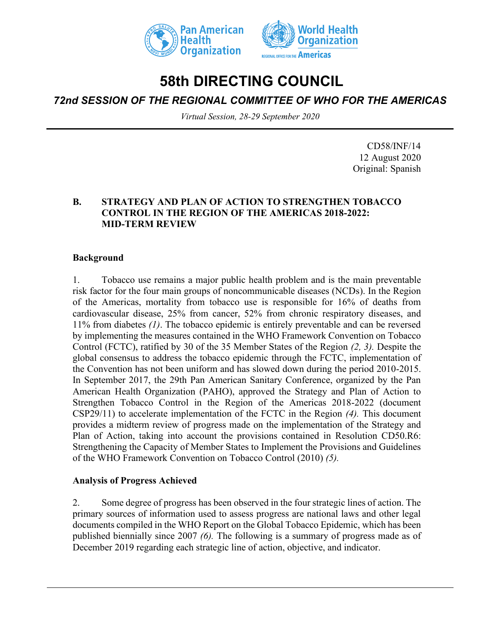



# **58th DIRECTING COUNCIL**

*72nd SESSION OF THE REGIONAL COMMITTEE OF WHO FOR THE AMERICAS*

*Virtual Session, 28-29 September 2020*

CD58/INF/14 12 August 2020 Original: Spanish

#### **B. STRATEGY AND PLAN OF ACTION TO STRENGTHEN TOBACCO CONTROL IN THE REGION OF THE AMERICAS 2018-2022: MID-TERM REVIEW**

#### **Background**

1. Tobacco use remains a major public health problem and is the main preventable risk factor for the four main groups of noncommunicable diseases (NCDs). In the Region of the Americas, mortality from tobacco use is responsible for 16% of deaths from cardiovascular disease, 25% from cancer, 52% from chronic respiratory diseases, and 11% from diabetes *(1)*. The tobacco epidemic is entirely preventable and can be reversed by implementing the measures contained in the WHO Framework Convention on Tobacco Control (FCTC), ratified by 30 of the 35 Member States of the Region *(2, 3).* Despite the global consensus to address the tobacco epidemic through the FCTC, implementation of the Convention has not been uniform and has slowed down during the period 2010-2015. In September 2017, the 29th Pan American Sanitary Conference, organized by the Pan American Health Organization (PAHO), approved the Strategy and Plan of Action to Strengthen Tobacco Control in the Region of the Americas 2018-2022 (document CSP29/11) to accelerate implementation of the FCTC in the Region *(4).* This document provides a midterm review of progress made on the implementation of the Strategy and Plan of Action, taking into account the provisions contained in Resolution CD50.R6: Strengthening the Capacity of Member States to Implement the Provisions and Guidelines of the WHO Framework Convention on Tobacco Control (2010) *(5).*

#### **Analysis of Progress Achieved**

2. Some degree of progress has been observed in the four strategic lines of action. The primary sources of information used to assess progress are national laws and other legal documents compiled in the WHO Report on the Global Tobacco Epidemic, which has been published biennially since 2007 *(6).* The following is a summary of progress made as of December 2019 regarding each strategic line of action, objective, and indicator.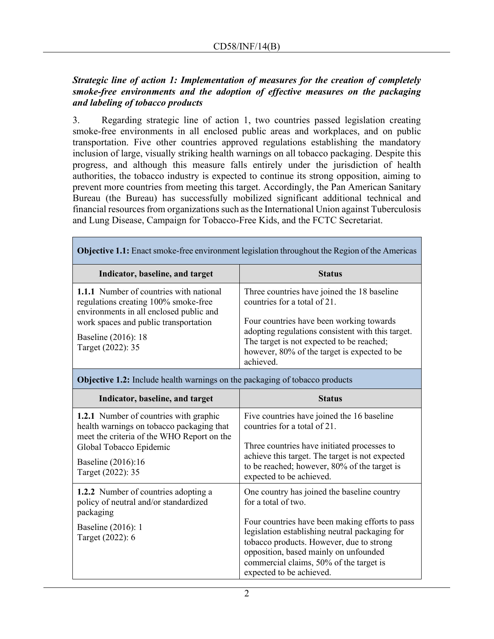### *Strategic line of action 1: Implementation of measures for the creation of completely smoke-free environments and the adoption of effective measures on the packaging and labeling of tobacco products*

3. Regarding strategic line of action 1, two countries passed legislation creating smoke-free environments in all enclosed public areas and workplaces, and on public transportation. Five other countries approved regulations establishing the mandatory inclusion of large, visually striking health warnings on all tobacco packaging. Despite this progress, and although this measure falls entirely under the jurisdiction of health authorities, the tobacco industry is expected to continue its strong opposition, aiming to prevent more countries from meeting this target. Accordingly, the Pan American Sanitary Bureau (the Bureau) has successfully mobilized significant additional technical and financial resources from organizations such as the International Union against Tuberculosis and Lung Disease, Campaign for Tobacco-Free Kids, and the FCTC Secretariat.

| <b>Objective 1.1:</b> Enact smoke-free environment legislation throughout the Region of the Americas                                                                                                            |                                                                                                                                                                                                                                                                                        |
|-----------------------------------------------------------------------------------------------------------------------------------------------------------------------------------------------------------------|----------------------------------------------------------------------------------------------------------------------------------------------------------------------------------------------------------------------------------------------------------------------------------------|
| Indicator, baseline, and target                                                                                                                                                                                 | <b>Status</b>                                                                                                                                                                                                                                                                          |
| 1.1.1 Number of countries with national<br>regulations creating 100% smoke-free<br>environments in all enclosed public and<br>work spaces and public transportation<br>Baseline (2016): 18<br>Target (2022): 35 | Three countries have joined the 18 baseline<br>countries for a total of 21.<br>Four countries have been working towards<br>adopting regulations consistent with this target.<br>The target is not expected to be reached;<br>however, 80% of the target is expected to be<br>achieved. |
|                                                                                                                                                                                                                 |                                                                                                                                                                                                                                                                                        |

**Objective 1.2:** Include health warnings on the packaging of tobacco products

| Indicator, baseline, and target                                                                                                                                                                                | <b>Status</b>                                                                                                                                                                                                                                                                                                                       |
|----------------------------------------------------------------------------------------------------------------------------------------------------------------------------------------------------------------|-------------------------------------------------------------------------------------------------------------------------------------------------------------------------------------------------------------------------------------------------------------------------------------------------------------------------------------|
| <b>1.2.1</b> Number of countries with graphic<br>health warnings on tobacco packaging that<br>meet the criteria of the WHO Report on the<br>Global Tobacco Epidemic<br>Baseline (2016):16<br>Target (2022): 35 | Five countries have joined the 16 baseline<br>countries for a total of 21.<br>Three countries have initiated processes to<br>achieve this target. The target is not expected<br>to be reached; however, 80% of the target is<br>expected to be achieved.                                                                            |
| 1.2.2 Number of countries adopting a<br>policy of neutral and/or standardized<br>packaging<br>Baseline (2016): 1<br>Target (2022): 6                                                                           | One country has joined the baseline country<br>for a total of two.<br>Four countries have been making efforts to pass<br>legislation establishing neutral packaging for<br>tobacco products. However, due to strong<br>opposition, based mainly on unfounded<br>commercial claims, 50% of the target is<br>expected to be achieved. |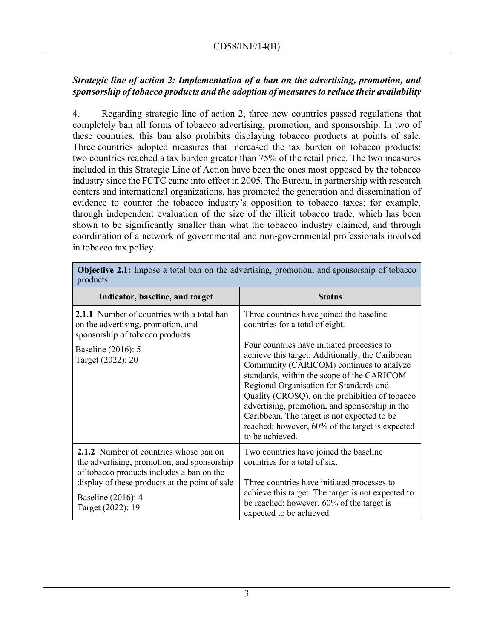# *Strategic line of action 2: Implementation of a ban on the advertising, promotion, and sponsorship of tobacco products and the adoption of measures to reduce their availability*

4. Regarding strategic line of action 2, three new countries passed regulations that completely ban all forms of tobacco advertising, promotion, and sponsorship. In two of these countries, this ban also prohibits displaying tobacco products at points of sale. Three countries adopted measures that increased the tax burden on tobacco products: two countries reached a tax burden greater than 75% of the retail price. The two measures included in this Strategic Line of Action have been the ones most opposed by the tobacco industry since the FCTC came into effect in 2005. The Bureau, in partnership with research centers and international organizations, has promoted the generation and dissemination of evidence to counter the tobacco industry's opposition to tobacco taxes; for example, through independent evaluation of the size of the illicit tobacco trade, which has been shown to be significantly smaller than what the tobacco industry claimed, and through coordination of a network of governmental and non-governmental professionals involved in tobacco tax policy.

| products                                                                                                                                                                                                                        |                                                                                                                                                                                                                                                                                                                                                                                                                                                                                                                                             |
|---------------------------------------------------------------------------------------------------------------------------------------------------------------------------------------------------------------------------------|---------------------------------------------------------------------------------------------------------------------------------------------------------------------------------------------------------------------------------------------------------------------------------------------------------------------------------------------------------------------------------------------------------------------------------------------------------------------------------------------------------------------------------------------|
| Indicator, baseline, and target                                                                                                                                                                                                 | <b>Status</b>                                                                                                                                                                                                                                                                                                                                                                                                                                                                                                                               |
| 2.1.1 Number of countries with a total ban<br>on the advertising, promotion, and<br>sponsorship of tobacco products<br>Baseline (2016): 5<br>Target (2022): 20                                                                  | Three countries have joined the baseline<br>countries for a total of eight.<br>Four countries have initiated processes to<br>achieve this target. Additionally, the Caribbean<br>Community (CARICOM) continues to analyze<br>standards, within the scope of the CARICOM<br>Regional Organisation for Standards and<br>Quality (CROSQ), on the prohibition of tobacco<br>advertising, promotion, and sponsorship in the<br>Caribbean. The target is not expected to be<br>reached; however, 60% of the target is expected<br>to be achieved. |
| 2.1.2 Number of countries whose ban on<br>the advertising, promotion, and sponsorship<br>of tobacco products includes a ban on the<br>display of these products at the point of sale<br>Baseline (2016): 4<br>Target (2022): 19 | Two countries have joined the baseline<br>countries for a total of six.<br>Three countries have initiated processes to<br>achieve this target. The target is not expected to<br>be reached; however, 60% of the target is<br>expected to be achieved.                                                                                                                                                                                                                                                                                       |

**Objective 2.1:** Impose a total ban on the advertising, promotion, and sponsorship of tobacco products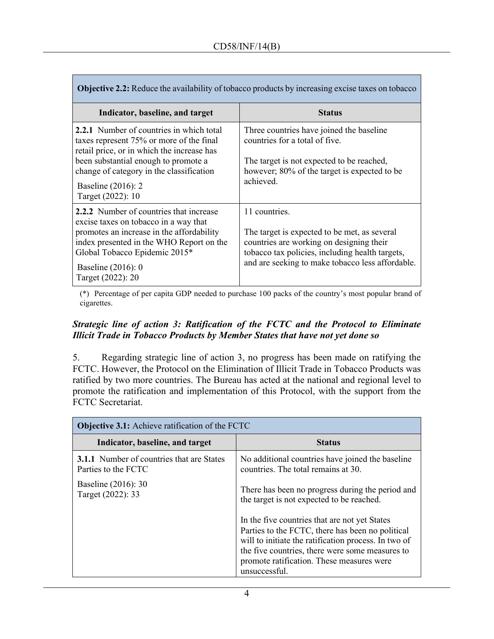| <b>Objective 2.2:</b> Reduce the availability of tobacco products by increasing excise taxes on tobacco                                                                                                                                                                  |                                                                                                                                                                                                                  |  |
|--------------------------------------------------------------------------------------------------------------------------------------------------------------------------------------------------------------------------------------------------------------------------|------------------------------------------------------------------------------------------------------------------------------------------------------------------------------------------------------------------|--|
| Indicator, baseline, and target                                                                                                                                                                                                                                          | <b>Status</b>                                                                                                                                                                                                    |  |
| <b>2.2.1</b> Number of countries in which total<br>taxes represent 75% or more of the final<br>retail price, or in which the increase has<br>been substantial enough to promote a<br>change of category in the classification<br>Baseline (2016): 2<br>Target (2022): 10 | Three countries have joined the baseline<br>countries for a total of five.<br>The target is not expected to be reached,<br>however; 80% of the target is expected to be<br>achieved.                             |  |
| <b>2.2.2</b> Number of countries that increase<br>excise taxes on tobacco in a way that<br>promotes an increase in the affordability<br>index presented in the WHO Report on the<br>Global Tobacco Epidemic 2015*<br>Baseline $(2016)$ : 0<br>Target (2022): 20          | 11 countries.<br>The target is expected to be met, as several<br>countries are working on designing their<br>tobacco tax policies, including health targets,<br>and are seeking to make tobacco less affordable. |  |

(\*) Percentage of per capita GDP needed to purchase 100 packs of the country's most popular brand of cigarettes.

#### *Strategic line of action 3: Ratification of the FCTC and the Protocol to Eliminate Illicit Trade in Tobacco Products by Member States that have not yet done so*

5. Regarding strategic line of action 3, no progress has been made on ratifying the FCTC. However, the Protocol on the Elimination of Illicit Trade in Tobacco Products was ratified by two more countries. The Bureau has acted at the national and regional level to promote the ratification and implementation of this Protocol, with the support from the FCTC Secretariat.

| <b>Objective 3.1:</b> Achieve ratification of the FCTC                  |                                                                                                                                                                                                                                                                            |
|-------------------------------------------------------------------------|----------------------------------------------------------------------------------------------------------------------------------------------------------------------------------------------------------------------------------------------------------------------------|
| Indicator, baseline, and target                                         | <b>Status</b>                                                                                                                                                                                                                                                              |
| <b>3.1.1</b> Number of countries that are States<br>Parties to the FCTC | No additional countries have joined the baseline<br>countries. The total remains at 30.                                                                                                                                                                                    |
| Baseline (2016): 30<br>Target (2022): 33                                | There has been no progress during the period and<br>the target is not expected to be reached.                                                                                                                                                                              |
|                                                                         | In the five countries that are not yet States<br>Parties to the FCTC, there has been no political<br>will to initiate the ratification process. In two of<br>the five countries, there were some measures to<br>promote ratification. These measures were<br>unsuccessful. |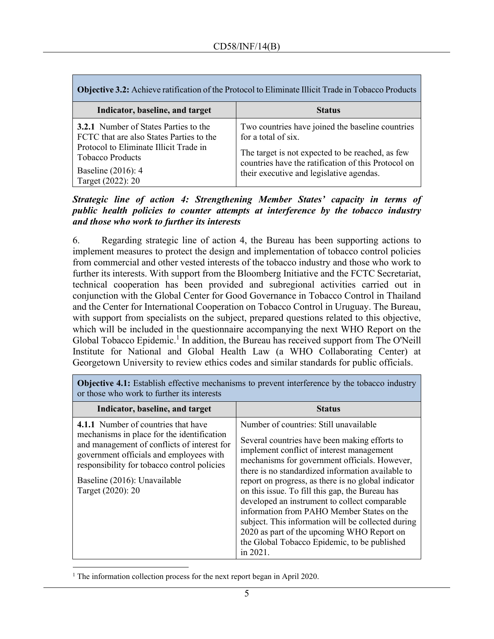| <b>Objective 3.2:</b> Achieve ratification of the Protocol to Eliminate Illicit Trade in Tobacco Products                                                                                                |                                                                                                                                                                                                                                |  |
|----------------------------------------------------------------------------------------------------------------------------------------------------------------------------------------------------------|--------------------------------------------------------------------------------------------------------------------------------------------------------------------------------------------------------------------------------|--|
| Indicator, baseline, and target                                                                                                                                                                          | <b>Status</b>                                                                                                                                                                                                                  |  |
| <b>3.2.1</b> Number of States Parties to the<br>FCTC that are also States Parties to the<br>Protocol to Eliminate Illicit Trade in<br><b>Tobacco Products</b><br>Baseline (2016): 4<br>Target (2022): 20 | Two countries have joined the baseline countries<br>for a total of six.<br>The target is not expected to be reached, as few<br>countries have the ratification of this Protocol on<br>their executive and legislative agendas. |  |

*Strategic line of action 4: Strengthening Member States' capacity in terms of public health policies to counter attempts at interference by the tobacco industry and those who work to further its interests*

6. Regarding strategic line of action 4, the Bureau has been supporting actions to implement measures to protect the design and implementation of tobacco control policies from commercial and other vested interests of the tobacco industry and those who work to further its interests. With support from the Bloomberg Initiative and the FCTC Secretariat, technical cooperation has been provided and subregional activities carried out in conjunction with the Global Center for Good Governance in Tobacco Control in Thailand and the Center for International Cooperation on Tobacco Control in Uruguay. The Bureau, with support from specialists on the subject, prepared questions related to this objective, which will be included in the questionnaire accompanying the next WHO Report on the Global Tobacco Epidemic.<sup>1</sup> In addition, the Bureau has received support from The O'Neill Institute for National and Global Health Law (a WHO Collaborating Center) at Georgetown University to review ethics codes and similar standards for public officials.

| Indicator, baseline, and target                                                                                                                                                                                                                                                 | <b>Status</b>                                                                                                                                                                                                                                                                                                                                                                                                                                                                                                                                                                                                       |
|---------------------------------------------------------------------------------------------------------------------------------------------------------------------------------------------------------------------------------------------------------------------------------|---------------------------------------------------------------------------------------------------------------------------------------------------------------------------------------------------------------------------------------------------------------------------------------------------------------------------------------------------------------------------------------------------------------------------------------------------------------------------------------------------------------------------------------------------------------------------------------------------------------------|
| 4.1.1 Number of countries that have<br>mechanisms in place for the identification<br>and management of conflicts of interest for<br>government officials and employees with<br>responsibility for tobacco control policies<br>Baseline (2016): Unavailable<br>Target (2020): 20 | Number of countries: Still unavailable<br>Several countries have been making efforts to<br>implement conflict of interest management<br>mechanisms for government officials. However,<br>there is no standardized information available to<br>report on progress, as there is no global indicator<br>on this issue. To fill this gap, the Bureau has<br>developed an instrument to collect comparable<br>information from PAHO Member States on the<br>subject. This information will be collected during<br>2020 as part of the upcoming WHO Report on<br>the Global Tobacco Epidemic, to be published<br>in 2021. |

**Objective 4.1:** Establish effective mechanisms to prevent interference by the tobacco industry or those who work to further its interests

<sup>1</sup> The information collection process for the next report began in April 2020.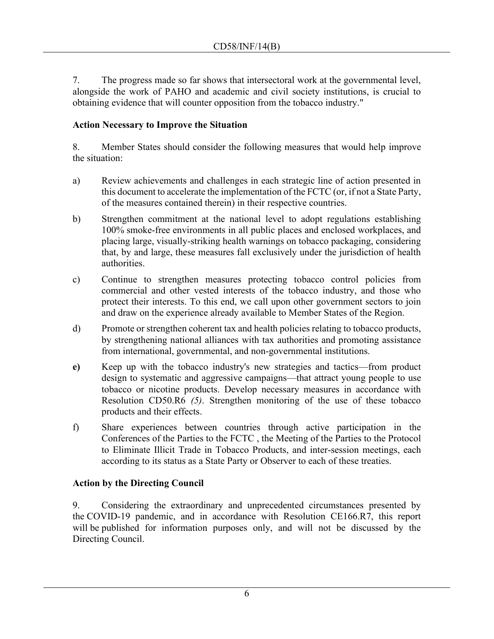7. The progress made so far shows that intersectoral work at the governmental level, alongside the work of PAHO and academic and civil society institutions, is crucial to obtaining evidence that will counter opposition from the tobacco industry."

## **Action Necessary to Improve the Situation**

8. Member States should consider the following measures that would help improve the situation:

- a) Review achievements and challenges in each strategic line of action presented in this document to accelerate the implementation of the FCTC (or, if not a State Party, of the measures contained therein) in their respective countries.
- b) Strengthen commitment at the national level to adopt regulations establishing 100% smoke-free environments in all public places and enclosed workplaces, and placing large, visually-striking health warnings on tobacco packaging, considering that, by and large, these measures fall exclusively under the jurisdiction of health authorities.
- c) Continue to strengthen measures protecting tobacco control policies from commercial and other vested interests of the tobacco industry, and those who protect their interests. To this end, we call upon other government sectors to join and draw on the experience already available to Member States of the Region.
- d) Promote or strengthen coherent tax and health policies relating to tobacco products, by strengthening national alliances with tax authorities and promoting assistance from international, governmental, and non-governmental institutions.
- **e)** Keep up with the tobacco industry's new strategies and tactics—from product design to systematic and aggressive campaigns—that attract young people to use tobacco or nicotine products. Develop necessary measures in accordance with Resolution CD50.R6 *(5)*. Strengthen monitoring of the use of these tobacco products and their effects.
- f) Share experiences between countries through active participation in the Conferences of the Parties to the FCTC , the Meeting of the Parties to the Protocol to Eliminate Illicit Trade in Tobacco Products, and inter-session meetings, each according to its status as a State Party or Observer to each of these treaties.

# **Action by the Directing Council**

9. Considering the extraordinary and unprecedented circumstances presented by the COVID-19 pandemic, and in accordance with Resolution CE166.R7, this report will be published for information purposes only, and will not be discussed by the Directing Council.